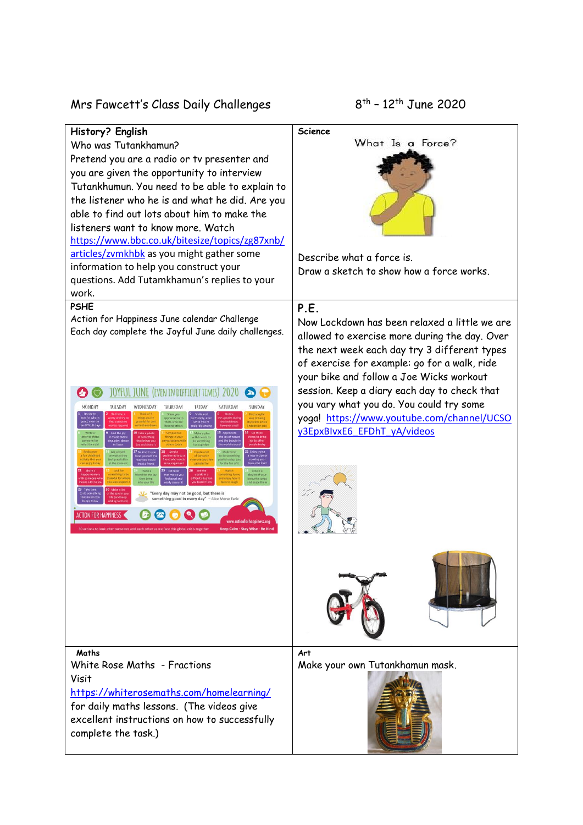Mrs Fawcett's Class Daily Challenges 8

 $8^{th}$  – 12<sup>th</sup> June 2020